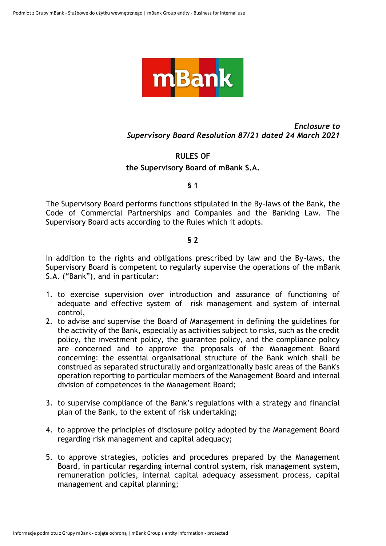

# *Enclosure to Supervisory Board Resolution 87/21 dated 24 March 2021*

# **RULES OF**

#### **the Supervisory Board of mBank S.A.**

#### **§ 1**

The Supervisory Board performs functions stipulated in the By-laws of the Bank, the Code of Commercial Partnerships and Companies and the Banking Law. The Supervisory Board acts according to the Rules which it adopts.

## **§ 2**

In addition to the rights and obligations prescribed by law and the By-laws, the Supervisory Board is competent to regularly supervise the operations of the mBank S.A. ("Bank"), and in particular:

- 1. to exercise supervision over introduction and assurance of functioning of adequate and effective system of risk management and system of internal control,
- 2. to advise and supervise the Board of Management in defining the guidelines for the activity of the Bank, especially as activities subject to risks, such as the credit policy, the investment policy, the guarantee policy, and the compliance policy are concerned and to approve the proposals of the Management Board concerning: the essential organisational structure of the Bank which shall be construed as separated structurally and organizationally basic areas of the Bank's operation reporting to particular members of the Management Board and internal division of competences in the Management Board;
- 3. to supervise compliance of the Bank's regulations with a strategy and financial plan of the Bank, to the extent of risk undertaking;
- 4. to approve the principles of disclosure policy adopted by the Management Board regarding risk management and capital adequacy;
- 5. to approve strategies, policies and procedures prepared by the Management Board, in particular regarding internal control system, risk management system, remuneration policies, internal capital adequacy assessment process, capital management and capital planning;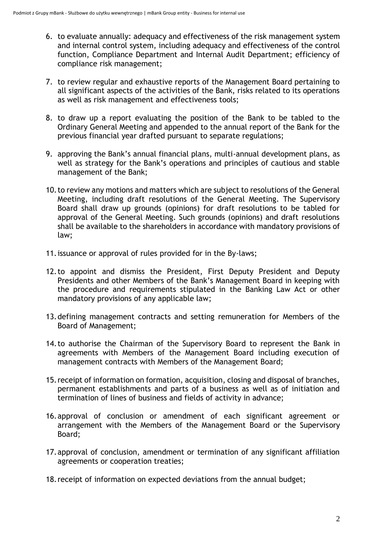- 6. to evaluate annually: adequacy and effectiveness of the risk management system and internal control system, including adequacy and effectiveness of the control function, Compliance Department and Internal Audit Department; efficiency of compliance risk management;
- 7. to review regular and exhaustive reports of the Management Board pertaining to all significant aspects of the activities of the Bank, risks related to its operations as well as risk management and effectiveness tools;
- 8. to draw up a report evaluating the position of the Bank to be tabled to the Ordinary General Meeting and appended to the annual report of the Bank for the previous financial year drafted pursuant to separate regulations;
- 9. approving the Bank's annual financial plans, multi-annual development plans, as well as strategy for the Bank's operations and principles of cautious and stable management of the Bank;
- 10.to review any motions and matters which are subject to resolutions of the General Meeting, including draft resolutions of the General Meeting. The Supervisory Board shall draw up grounds (opinions) for draft resolutions to be tabled for approval of the General Meeting. Such grounds (opinions) and draft resolutions shall be available to the shareholders in accordance with mandatory provisions of law;
- 11.issuance or approval of rules provided for in the By-laws;
- 12.to appoint and dismiss the President, First Deputy President and Deputy Presidents and other Members of the Bank's Management Board in keeping with the procedure and requirements stipulated in the Banking Law Act or other mandatory provisions of any applicable law;
- 13.defining management contracts and setting remuneration for Members of the Board of Management;
- 14.to authorise the Chairman of the Supervisory Board to represent the Bank in agreements with Members of the Management Board including execution of management contracts with Members of the Management Board;
- 15.receipt of information on formation, acquisition, closing and disposal of branches, permanent establishments and parts of a business as well as of initiation and termination of lines of business and fields of activity in advance;
- 16.approval of conclusion or amendment of each significant agreement or arrangement with the Members of the Management Board or the Supervisory Board;
- 17.approval of conclusion, amendment or termination of any significant affiliation agreements or cooperation treaties;
- 18.receipt of information on expected deviations from the annual budget;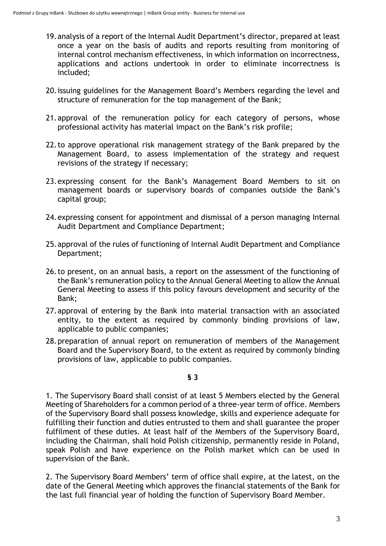- 19.analysis of a report of the Internal Audit Department's director, prepared at least once a year on the basis of audits and reports resulting from monitoring of internal control mechanism effectiveness, in which information on incorrectness, applications and actions undertook in order to eliminate incorrectness is included;
- 20.issuing guidelines for the Management Board's Members regarding the level and structure of remuneration for the top management of the Bank;
- 21.approval of the remuneration policy for each category of persons, whose professional activity has material impact on the Bank's risk profile;
- 22.to approve operational risk management strategy of the Bank prepared by the Management Board, to assess implementation of the strategy and request revisions of the strategy if necessary;
- 23.expressing consent for the Bank's Management Board Members to sit on management boards or supervisory boards of companies outside the Bank's capital group;
- 24.expressing consent for appointment and dismissal of a person managing Internal Audit Department and Compliance Department;
- 25.approval of the rules of functioning of Internal Audit Department and Compliance Department;
- 26.to present, on an annual basis, a report on the assessment of the functioning of the Bank's remuneration policy to the Annual General Meeting to allow the Annual General Meeting to assess if this policy favours development and security of the Bank;
- 27.approval of entering by the Bank into material transaction with an associated entity, to the extent as required by commonly binding provisions of law, applicable to public companies;
- 28.preparation of annual report on remuneration of members of the Management Board and the Supervisory Board, to the extent as required by commonly binding provisions of law, applicable to public companies.

#### **§ 3**

1. The Supervisory Board shall consist of at least 5 Members elected by the General Meeting of Shareholders for a common period of a three-year term of office. Members of the Supervisory Board shall possess knowledge, skills and experience adequate for fulfilling their function and duties entrusted to them and shall guarantee the proper fulfilment of these duties. At least half of the Members of the Supervisory Board, including the Chairman, shall hold Polish citizenship, permanently reside in Poland, speak Polish and have experience on the Polish market which can be used in supervision of the Bank.

2. The Supervisory Board Members' term of office shall expire, at the latest, on the date of the General Meeting which approves the financial statements of the Bank for the last full financial year of holding the function of Supervisory Board Member.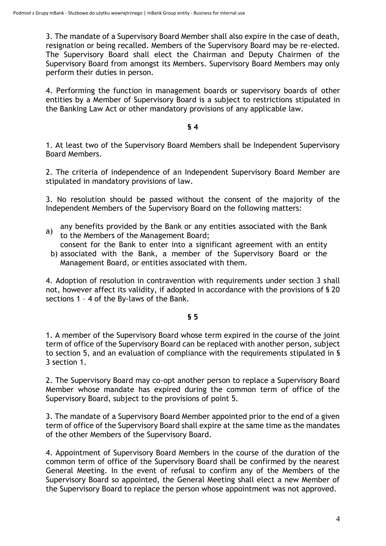3. The mandate of a Supervisory Board Member shall also expire in the case of death, resignation or being recalled. Members of the Supervisory Board may be re-elected. The Supervisory Board shall elect the Chairman and Deputy Chairmen of the Supervisory Board from amongst its Members. Supervisory Board Members may only perform their duties in person.

4. Performing the function in management boards or supervisory boards of other entities by a Member of Supervisory Board is a subject to restrictions stipulated in the Banking Law Act or other mandatory provisions of any applicable law.

#### **§ 4**

1. At least two of the Supervisory Board Members shall be Independent Supervisory Board Members.

2. The criteria of independence of an Independent Supervisory Board Member are stipulated in mandatory provisions of law.

3. No resolution should be passed without the consent of the majority of the Independent Members of the Supervisory Board on the following matters:

a) any benefits provided by the Bank or any entities associated with the Bank to the Members of the Management Board;

 b) associated with the Bank, a member of the Supervisory Board or the consent for the Bank to enter into a significant agreement with an entity Management Board, or entities associated with them.

4. Adoption of resolution in contravention with requirements under section 3 shall not, however affect its validity, if adopted in accordance with the provisions of § 20 sections 1 – 4 of the By-laws of the Bank.

#### **§ 5**

1. A member of the Supervisory Board whose term expired in the course of the joint term of office of the Supervisory Board can be replaced with another person, subject to section 5, and an evaluation of compliance with the requirements stipulated in § 3 section 1.

2. The Supervisory Board may co-opt another person to replace a Supervisory Board Member whose mandate has expired during the common term of office of the Supervisory Board, subject to the provisions of point 5.

3. The mandate of a Supervisory Board Member appointed prior to the end of a given term of office of the Supervisory Board shall expire at the same time as the mandates of the other Members of the Supervisory Board.

4. Appointment of Supervisory Board Members in the course of the duration of the common term of office of the Supervisory Board shall be confirmed by the nearest General Meeting. In the event of refusal to confirm any of the Members of the Supervisory Board so appointed, the General Meeting shall elect a new Member of the Supervisory Board to replace the person whose appointment was not approved.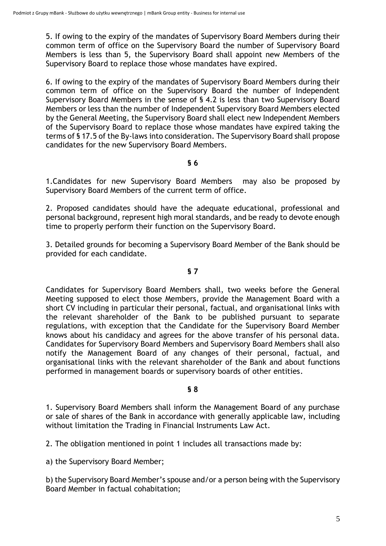5. If owing to the expiry of the mandates of Supervisory Board Members during their common term of office on the Supervisory Board the number of Supervisory Board Members is less than 5, the Supervisory Board shall appoint new Members of the Supervisory Board to replace those whose mandates have expired.

6. If owing to the expiry of the mandates of Supervisory Board Members during their common term of office on the Supervisory Board the number of Independent Supervisory Board Members in the sense of § 4.2 is less than two Supervisory Board Members or less than the number of Independent Supervisory Board Members elected by the General Meeting, the Supervisory Board shall elect new Independent Members of the Supervisory Board to replace those whose mandates have expired taking the terms of § 17.5 of the By-laws into consideration. The Supervisory Board shall propose candidates for the new Supervisory Board Members.

## **§ 6**

1.Candidates for new Supervisory Board Members may also be proposed by Supervisory Board Members of the current term of office.

2. Proposed candidates should have the adequate educational, professional and personal background, represent high moral standards, and be ready to devote enough time to properly perform their function on the Supervisory Board.

3. Detailed grounds for becoming a Supervisory Board Member of the Bank should be provided for each candidate.

### **§ 7**

Candidates for Supervisory Board Members shall, two weeks before the General Meeting supposed to elect those Members, provide the Management Board with a short CV including in particular their personal, factual, and organisational links with the relevant shareholder of the Bank to be published pursuant to separate regulations, with exception that the Candidate for the Supervisory Board Member knows about his candidacy and agrees for the above transfer of his personal data. Candidates for Supervisory Board Members and Supervisory Board Members shall also notify the Management Board of any changes of their personal, factual, and organisational links with the relevant shareholder of the Bank and about functions performed in management boards or supervisory boards of other entities.

# **§ 8**

1. Supervisory Board Members shall inform the Management Board of any purchase or sale of shares of the Bank in accordance with generally applicable law, including without limitation the Trading in Financial Instruments Law Act.

2. The obligation mentioned in point 1 includes all transactions made by:

a) the Supervisory Board Member;

b) the Supervisory Board Member's spouse and/or a person being with the Supervisory Board Member in factual cohabitation;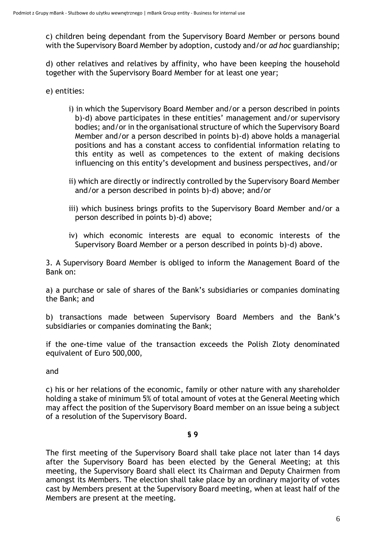c) children being dependant from the Supervisory Board Member or persons bound with the Supervisory Board Member by adoption, custody and/or *ad hoc* guardianship;

d) other relatives and relatives by affinity, who have been keeping the household together with the Supervisory Board Member for at least one year;

e) entities:

- i) in which the Supervisory Board Member and/or a person described in points b)-d) above participates in these entities' management and/or supervisory bodies; and/or in the organisational structure of which the Supervisory Board Member and/or a person described in points b)-d) above holds a managerial positions and has a constant access to confidential information relating to this entity as well as competences to the extent of making decisions influencing on this entity's development and business perspectives, and/or
- ii) which are directly or indirectly controlled by the Supervisory Board Member and/or a person described in points b)-d) above; and/or
- iii) which business brings profits to the Supervisory Board Member and/or a person described in points b)-d) above;
- iv) which economic interests are equal to economic interests of the Supervisory Board Member or a person described in points b)-d) above.

3. A Supervisory Board Member is obliged to inform the Management Board of the Bank on:

a) a purchase or sale of shares of the Bank's subsidiaries or companies dominating the Bank; and

b) transactions made between Supervisory Board Members and the Bank's subsidiaries or companies dominating the Bank;

if the one-time value of the transaction exceeds the Polish Zloty denominated equivalent of Euro 500,000,

and

c) his or her relations of the economic, family or other nature with any shareholder holding a stake of minimum 5% of total amount of votes at the General Meeting which may affect the position of the Supervisory Board member on an issue being a subject of a resolution of the Supervisory Board.

#### **§ 9**

The first meeting of the Supervisory Board shall take place not later than 14 days after the Supervisory Board has been elected by the General Meeting; at this meeting, the Supervisory Board shall elect its Chairman and Deputy Chairmen from amongst its Members. The election shall take place by an ordinary majority of votes cast by Members present at the Supervisory Board meeting, when at least half of the Members are present at the meeting.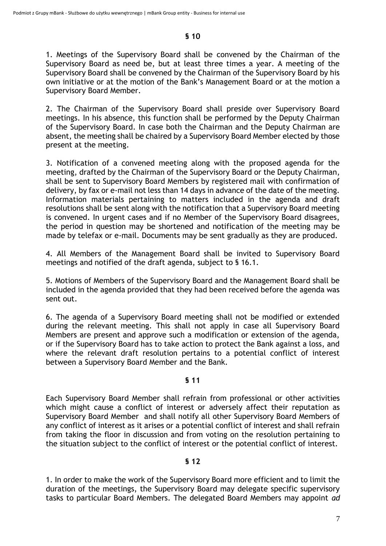# **§ 10**

1. Meetings of the Supervisory Board shall be convened by the Chairman of the Supervisory Board as need be, but at least three times a year. A meeting of the Supervisory Board shall be convened by the Chairman of the Supervisory Board by his own initiative or at the motion of the Bank's Management Board or at the motion a Supervisory Board Member.

2. The Chairman of the Supervisory Board shall preside over Supervisory Board meetings. In his absence, this function shall be performed by the Deputy Chairman of the Supervisory Board. In case both the Chairman and the Deputy Chairman are absent, the meeting shall be chaired by a Supervisory Board Member elected by those present at the meeting.

3. Notification of a convened meeting along with the proposed agenda for the meeting, drafted by the Chairman of the Supervisory Board or the Deputy Chairman, shall be sent to Supervisory Board Members by registered mail with confirmation of delivery, by fax or e-mail not less than 14 days in advance of the date of the meeting. Information materials pertaining to matters included in the agenda and draft resolutions shall be sent along with the notification that a Supervisory Board meeting is convened. In urgent cases and if no Member of the Supervisory Board disagrees, the period in question may be shortened and notification of the meeting may be made by telefax or e-mail. Documents may be sent gradually as they are produced.

4. All Members of the Management Board shall be invited to Supervisory Board meetings and notified of the draft agenda, subject to § 16.1.

5. Motions of Members of the Supervisory Board and the Management Board shall be included in the agenda provided that they had been received before the agenda was sent out.

6. The agenda of a Supervisory Board meeting shall not be modified or extended during the relevant meeting. This shall not apply in case all Supervisory Board Members are present and approve such a modification or extension of the agenda, or if the Supervisory Board has to take action to protect the Bank against a loss, and where the relevant draft resolution pertains to a potential conflict of interest between a Supervisory Board Member and the Bank.

# **§ 11**

Each Supervisory Board Member shall refrain from professional or other activities which might cause a conflict of interest or adversely affect their reputation as Supervisory Board Member and shall notify all other Supervisory Board Members of any conflict of interest as it arises or a potential conflict of interest and shall refrain from taking the floor in discussion and from voting on the resolution pertaining to the situation subject to the conflict of interest or the potential conflict of interest.

# **§ 12**

1. In order to make the work of the Supervisory Board more efficient and to limit the duration of the meetings, the Supervisory Board may delegate specific supervisory tasks to particular Board Members. The delegated Board Members may appoint *ad*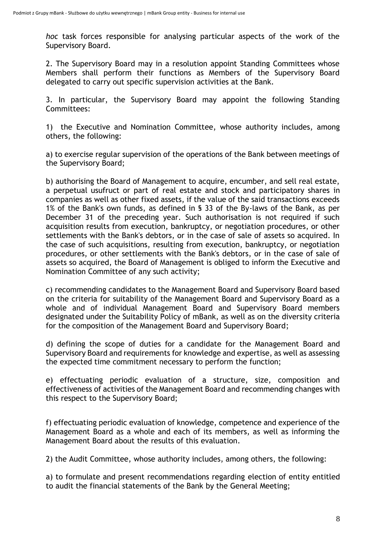*hoc* task forces responsible for analysing particular aspects of the work of the Supervisory Board.

2. The Supervisory Board may in a resolution appoint Standing Committees whose Members shall perform their functions as Members of the Supervisory Board delegated to carry out specific supervision activities at the Bank.

3. In particular, the Supervisory Board may appoint the following Standing Committees:

1) the Executive and Nomination Committee, whose authority includes, among others, the following:

a) to exercise regular supervision of the operations of the Bank between meetings of the Supervisory Board;

b) authorising the Board of Management to acquire, encumber, and sell real estate, a perpetual usufruct or part of real estate and stock and participatory shares in companies as well as other fixed assets, if the value of the said transactions exceeds 1% of the Bank's own funds, as defined in § 33 of the By-laws of the Bank, as per December 31 of the preceding year. Such authorisation is not required if such acquisition results from execution, bankruptcy, or negotiation procedures, or other settlements with the Bank's debtors, or in the case of sale of assets so acquired. In the case of such acquisitions, resulting from execution, bankruptcy, or negotiation procedures, or other settlements with the Bank's debtors, or in the case of sale of assets so acquired, the Board of Management is obliged to inform the Executive and Nomination Committee of any such activity;

c) recommending candidates to the Management Board and Supervisory Board based on the criteria for suitability of the Management Board and Supervisory Board as a whole and of individual Management Board and Supervisory Board members designated under the Suitability Policy of mBank, as well as on the diversity criteria for the composition of the Management Board and Supervisory Board;

d) defining the scope of duties for a candidate for the Management Board and Supervisory Board and requirements for knowledge and expertise, as well as assessing the expected time commitment necessary to perform the function;

e) effectuating periodic evaluation of a structure, size, composition and effectiveness of activities of the Management Board and recommending changes with this respect to the Supervisory Board;

f) effectuating periodic evaluation of knowledge, competence and experience of the Management Board as a whole and each of its members, as well as informing the Management Board about the results of this evaluation.

2) the Audit Committee, whose authority includes, among others, the following:

a) to formulate and present recommendations regarding election of entity entitled to audit the financial statements of the Bank by the General Meeting;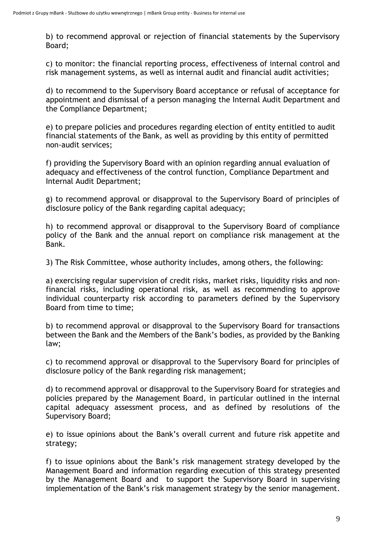b) to recommend approval or rejection of financial statements by the Supervisory Board;

c) to monitor: the financial reporting process, effectiveness of internal control and risk management systems, as well as internal audit and financial audit activities;

d) to recommend to the Supervisory Board acceptance or refusal of acceptance for appointment and dismissal of a person managing the Internal Audit Department and the Compliance Department;

e) to prepare policies and procedures regarding election of entity entitled to audit financial statements of the Bank, as well as providing by this entity of permitted non-audit services;

f) providing the Supervisory Board with an opinion regarding annual evaluation of adequacy and effectiveness of the control function, Compliance Department and Internal Audit Department;

g) to recommend approval or disapproval to the Supervisory Board of principles of disclosure policy of the Bank regarding capital adequacy;

h) to recommend approval or disapproval to the Supervisory Board of compliance policy of the Bank and the annual report on compliance risk management at the Bank.

3) The Risk Committee, whose authority includes, among others, the following:

a) exercising regular supervision of credit risks, market risks, liquidity risks and nonfinancial risks, including operational risk, as well as recommending to approve individual counterparty risk according to parameters defined by the Supervisory Board from time to time;

b) to recommend approval or disapproval to the Supervisory Board for transactions between the Bank and the Members of the Bank's bodies, as provided by the Banking law;

c) to recommend approval or disapproval to the Supervisory Board for principles of disclosure policy of the Bank regarding risk management;

d) to recommend approval or disapproval to the Supervisory Board for strategies and policies prepared by the Management Board, in particular outlined in the internal capital adequacy assessment process, and as defined by resolutions of the Supervisory Board;

e) to issue opinions about the Bank's overall current and future risk appetite and strategy;

f) to issue opinions about the Bank's risk management strategy developed by the Management Board and information regarding execution of this strategy presented by the Management Board and to support the Supervisory Board in supervising implementation of the Bank's risk management strategy by the senior management.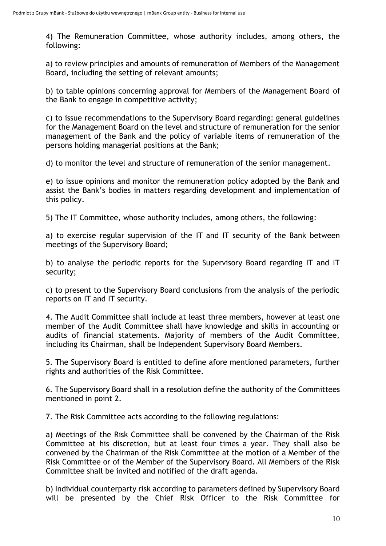4) The Remuneration Committee, whose authority includes, among others, the following:

a) to review principles and amounts of remuneration of Members of the Management Board, including the setting of relevant amounts;

b) to table opinions concerning approval for Members of the Management Board of the Bank to engage in competitive activity;

c) to issue recommendations to the Supervisory Board regarding: general guidelines for the Management Board on the level and structure of remuneration for the senior management of the Bank and the policy of variable items of remuneration of the persons holding managerial positions at the Bank;

d) to monitor the level and structure of remuneration of the senior management.

e) to issue opinions and monitor the remuneration policy adopted by the Bank and assist the Bank's bodies in matters regarding development and implementation of this policy.

5) The IT Committee, whose authority includes, among others, the following:

a) to exercise regular supervision of the IT and IT security of the Bank between meetings of the Supervisory Board;

b) to analyse the periodic reports for the Supervisory Board regarding IT and IT security;

c) to present to the Supervisory Board conclusions from the analysis of the periodic reports on IT and IT security.

4. The Audit Committee shall include at least three members, however at least one member of the Audit Committee shall have knowledge and skills in accounting or audits of financial statements. Majority of members of the Audit Committee, including its Chairman, shall be Independent Supervisory Board Members.

5. The Supervisory Board is entitled to define afore mentioned parameters, further rights and authorities of the Risk Committee.

6. The Supervisory Board shall in a resolution define the authority of the Committees mentioned in point 2.

7. The Risk Committee acts according to the following regulations:

a) Meetings of the Risk Committee shall be convened by the Chairman of the Risk Committee at his discretion, but at least four times a year. They shall also be convened by the Chairman of the Risk Committee at the motion of a Member of the Risk Committee or of the Member of the Supervisory Board. All Members of the Risk Committee shall be invited and notified of the draft agenda.

b) Individual counterparty risk according to parameters defined by Supervisory Board will be presented by the Chief Risk Officer to the Risk Committee for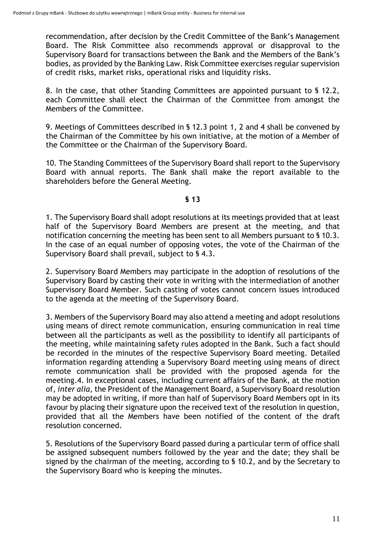recommendation, after decision by the Credit Committee of the Bank's Management Board. The Risk Committee also recommends approval or disapproval to the Supervisory Board for transactions between the Bank and the Members of the Bank's bodies, as provided by the Banking Law. Risk Committee exercises regular supervision of credit risks, market risks, operational risks and liquidity risks.

8. In the case, that other Standing Committees are appointed pursuant to § 12.2, each Committee shall elect the Chairman of the Committee from amongst the Members of the Committee.

9. Meetings of Committees described in § 12.3 point 1, 2 and 4 shall be convened by the Chairman of the Committee by his own initiative, at the motion of a Member of the Committee or the Chairman of the Supervisory Board.

10. The Standing Committees of the Supervisory Board shall report to the Supervisory Board with annual reports. The Bank shall make the report available to the shareholders before the General Meeting.

## **§ 13**

1. The Supervisory Board shall adopt resolutions at its meetings provided that at least half of the Supervisory Board Members are present at the meeting, and that notification concerning the meeting has been sent to all Members pursuant to § 10.3. In the case of an equal number of opposing votes, the vote of the Chairman of the Supervisory Board shall prevail, subject to § 4.3.

2. Supervisory Board Members may participate in the adoption of resolutions of the Supervisory Board by casting their vote in writing with the intermediation of another Supervisory Board Member. Such casting of votes cannot concern issues introduced to the agenda at the meeting of the Supervisory Board.

3. Members of the Supervisory Board may also attend a meeting and adopt resolutions using means of direct remote communication, ensuring communication in real time between all the participants as well as the possibility to identify all participants of the meeting, while maintaining safety rules adopted in the Bank. Such a fact should be recorded in the minutes of the respective Supervisory Board meeting. Detailed information regarding attending a Supervisory Board meeting using means of direct remote communication shall be provided with the proposed agenda for the meeting.4. In exceptional cases, including current affairs of the Bank, at the motion of, *inter alia*, the President of the Management Board, a Supervisory Board resolution may be adopted in writing, if more than half of Supervisory Board Members opt in its favour by placing their signature upon the received text of the resolution in question, provided that all the Members have been notified of the content of the draft resolution concerned.

5. Resolutions of the Supervisory Board passed during a particular term of office shall be assigned subsequent numbers followed by the year and the date; they shall be signed by the chairman of the meeting, according to § 10.2, and by the Secretary to the Supervisory Board who is keeping the minutes.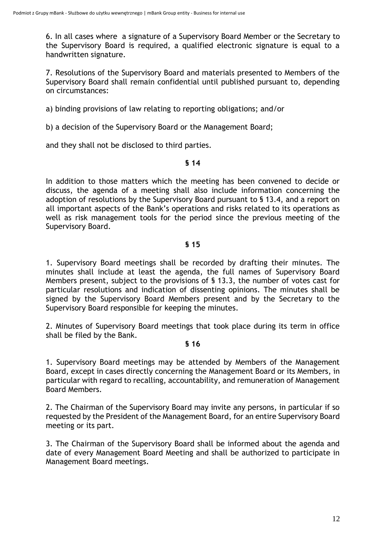6. In all cases where a signature of a Supervisory Board Member or the Secretary to the Supervisory Board is required, a qualified electronic signature is equal to a handwritten signature.

7. Resolutions of the Supervisory Board and materials presented to Members of the Supervisory Board shall remain confidential until published pursuant to, depending on circumstances:

a) binding provisions of law relating to reporting obligations; and/or

b) a decision of the Supervisory Board or the Management Board;

and they shall not be disclosed to third parties.

## **§ 14**

In addition to those matters which the meeting has been convened to decide or discuss, the agenda of a meeting shall also include information concerning the adoption of resolutions by the Supervisory Board pursuant to § 13.4, and a report on all important aspects of the Bank's operations and risks related to its operations as well as risk management tools for the period since the previous meeting of the Supervisory Board.

# **§ 15**

1. Supervisory Board meetings shall be recorded by drafting their minutes. The minutes shall include at least the agenda, the full names of Supervisory Board Members present, subject to the provisions of § 13.3, the number of votes cast for particular resolutions and indication of dissenting opinions. The minutes shall be signed by the Supervisory Board Members present and by the Secretary to the Supervisory Board responsible for keeping the minutes.

2. Minutes of Supervisory Board meetings that took place during its term in office shall be filed by the Bank.

# **§ 16**

1. Supervisory Board meetings may be attended by Members of the Management Board, except in cases directly concerning the Management Board or its Members, in particular with regard to recalling, accountability, and remuneration of Management Board Members.

2. The Chairman of the Supervisory Board may invite any persons, in particular if so requested by the President of the Management Board, for an entire Supervisory Board meeting or its part.

3. The Chairman of the Supervisory Board shall be informed about the agenda and date of every Management Board Meeting and shall be authorized to participate in Management Board meetings.